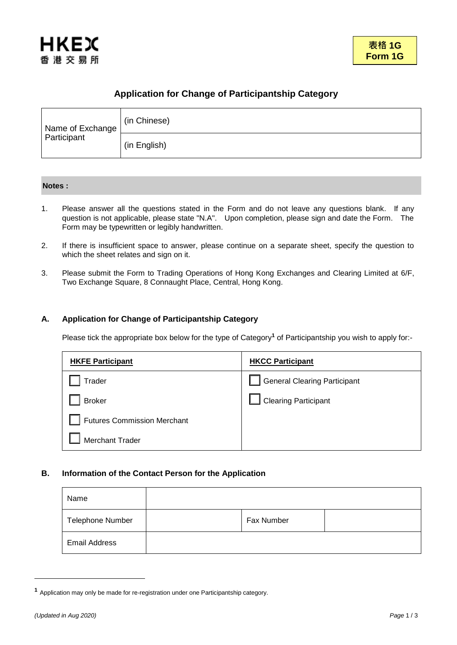

# **Application for Change of Participantship Category**

| Name of Exchange<br>Participant | (in Chinese) |
|---------------------------------|--------------|
|                                 | (in English) |

## **Notes :**

- 1. Please answer all the questions stated in the Form and do not leave any questions blank. If any question is not applicable, please state "N.A". Upon completion, please sign and date the Form. The Form may be typewritten or legibly handwritten.
- 2. If there is insufficient space to answer, please continue on a separate sheet, specify the question to which the sheet relates and sign on it.
- 3. Please submit the Form to Trading Operations of Hong Kong Exchanges and Clearing Limited at 6/F, Two Exchange Square, 8 Connaught Place, Central, Hong Kong.

## **A. Application for Change of Participantship Category**

Please tick the appropriate box below for the type of Category**<sup>1</sup>** of Participantship you wish to apply for:-

| <b>HKFE Participant</b>            | <b>HKCC Participant</b>             |
|------------------------------------|-------------------------------------|
| Trader                             | <b>General Clearing Participant</b> |
| <b>Broker</b>                      | <b>Clearing Participant</b>         |
| <b>Futures Commission Merchant</b> |                                     |
| Merchant Trader                    |                                     |

## **B. Information of the Contact Person for the Application**

| Name                    |            |  |
|-------------------------|------------|--|
| <b>Telephone Number</b> | Fax Number |  |
| <b>Email Address</b>    |            |  |

1

**<sup>1</sup>** Application may only be made for re-registration under one Participantship category.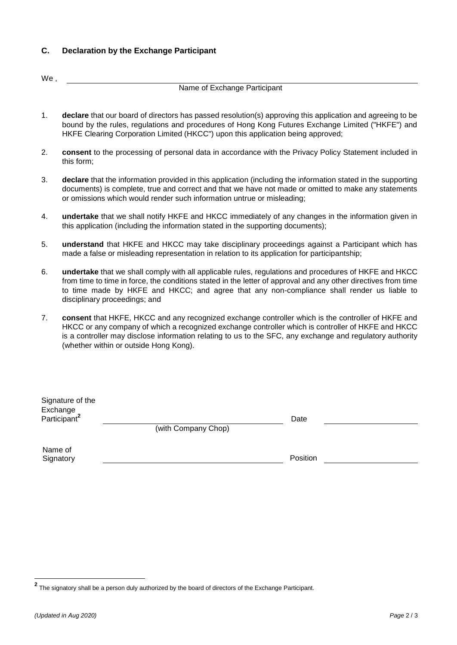## **C. Declaration by the Exchange Participant**

We,

## Name of Exchange Participant

- 1. **declare** that our board of directors has passed resolution(s) approving this application and agreeing to be bound by the rules, regulations and procedures of Hong Kong Futures Exchange Limited ("HKFE") and HKFE Clearing Corporation Limited (HKCC") upon this application being approved;
- 2. **consent** to the processing of personal data in accordance with the Privacy Policy Statement included in this form;
- 3. **declare** that the information provided in this application (including the information stated in the supporting documents) is complete, true and correct and that we have not made or omitted to make any statements or omissions which would render such information untrue or misleading;
- 4. **undertake** that we shall notify HKFE and HKCC immediately of any changes in the information given in this application (including the information stated in the supporting documents);
- 5. **understand** that HKFE and HKCC may take disciplinary proceedings against a Participant which has made a false or misleading representation in relation to its application for participantship;
- 6. **undertake** that we shall comply with all applicable rules, regulations and procedures of HKFE and HKCC from time to time in force, the conditions stated in the letter of approval and any other directives from time to time made by HKFE and HKCC; and agree that any non-compliance shall render us liable to disciplinary proceedings; and
- 7. **consent** that HKFE, HKCC and any recognized exchange controller which is the controller of HKFE and HKCC or any company of which a recognized exchange controller which is controller of HKFE and HKCC is a controller may disclose information relating to us to the SFC, any exchange and regulatory authority (whether within or outside Hong Kong).

| Signature of the<br>Exchange<br>Participant <sup>2</sup> |                     | Date     |  |
|----------------------------------------------------------|---------------------|----------|--|
|                                                          | (with Company Chop) |          |  |
| Name of<br>Signatory                                     |                     | Position |  |

**<sup>2</sup>** The signatory shall be a person duly authorized by the board of directors of the Exchange Participant.